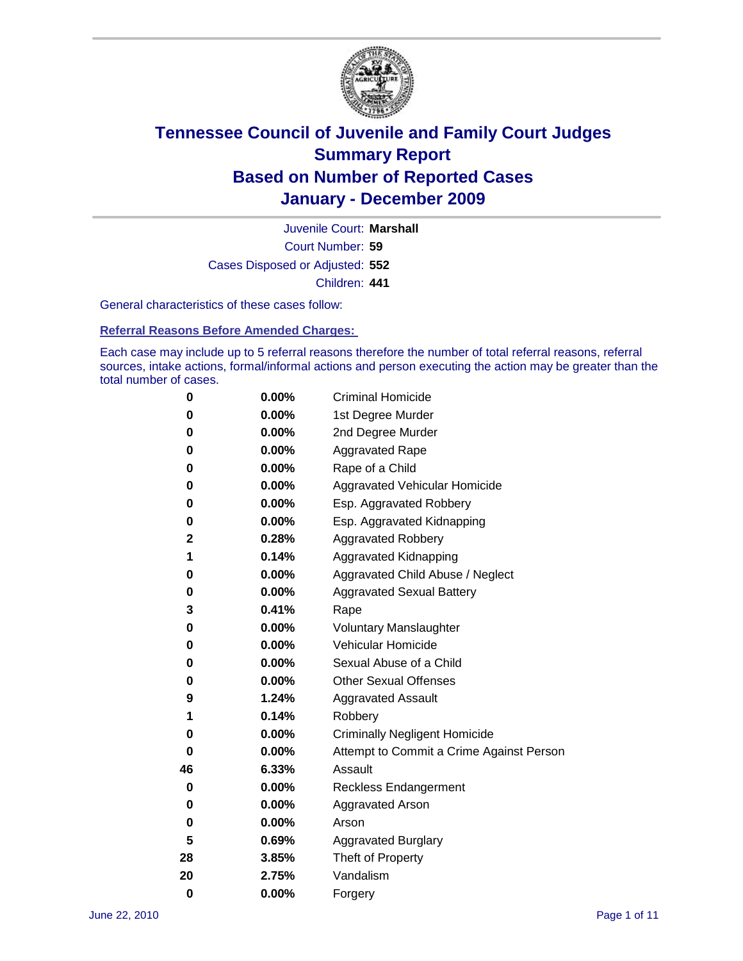

Court Number: **59** Juvenile Court: **Marshall** Cases Disposed or Adjusted: **552** Children: **441**

General characteristics of these cases follow:

**Referral Reasons Before Amended Charges:** 

Each case may include up to 5 referral reasons therefore the number of total referral reasons, referral sources, intake actions, formal/informal actions and person executing the action may be greater than the total number of cases.

| 0  | 0.00% | <b>Criminal Homicide</b>                 |
|----|-------|------------------------------------------|
| 0  | 0.00% | 1st Degree Murder                        |
| 0  | 0.00% | 2nd Degree Murder                        |
| 0  | 0.00% | <b>Aggravated Rape</b>                   |
| 0  | 0.00% | Rape of a Child                          |
| 0  | 0.00% | Aggravated Vehicular Homicide            |
| 0  | 0.00% | Esp. Aggravated Robbery                  |
| 0  | 0.00% | Esp. Aggravated Kidnapping               |
| 2  | 0.28% | <b>Aggravated Robbery</b>                |
| 1  | 0.14% | Aggravated Kidnapping                    |
| 0  | 0.00% | Aggravated Child Abuse / Neglect         |
| 0  | 0.00% | <b>Aggravated Sexual Battery</b>         |
| 3  | 0.41% | Rape                                     |
| 0  | 0.00% | <b>Voluntary Manslaughter</b>            |
| 0  | 0.00% | Vehicular Homicide                       |
| 0  | 0.00% | Sexual Abuse of a Child                  |
| 0  | 0.00% | <b>Other Sexual Offenses</b>             |
| 9  | 1.24% | <b>Aggravated Assault</b>                |
| 1  | 0.14% | Robbery                                  |
| 0  | 0.00% | <b>Criminally Negligent Homicide</b>     |
| 0  | 0.00% | Attempt to Commit a Crime Against Person |
| 46 | 6.33% | Assault                                  |
| 0  | 0.00% | <b>Reckless Endangerment</b>             |
| 0  | 0.00% | <b>Aggravated Arson</b>                  |
| 0  | 0.00% | Arson                                    |
| 5  | 0.69% | <b>Aggravated Burglary</b>               |
| 28 | 3.85% | Theft of Property                        |
| 20 | 2.75% | Vandalism                                |
| 0  | 0.00% | Forgery                                  |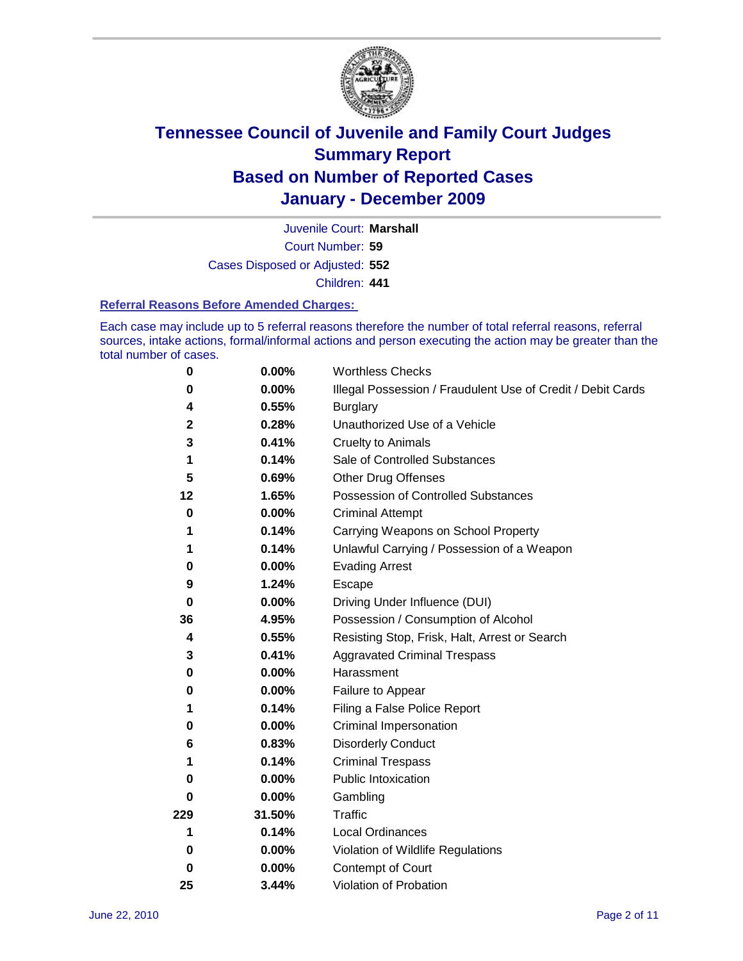

Court Number: **59** Juvenile Court: **Marshall** Cases Disposed or Adjusted: **552**

Children: **441**

### **Referral Reasons Before Amended Charges:**

Each case may include up to 5 referral reasons therefore the number of total referral reasons, referral sources, intake actions, formal/informal actions and person executing the action may be greater than the total number of cases.

| $\pmb{0}$ | 0.00%    | <b>Worthless Checks</b>                                     |
|-----------|----------|-------------------------------------------------------------|
| 0         | 0.00%    | Illegal Possession / Fraudulent Use of Credit / Debit Cards |
| 4         | 0.55%    | <b>Burglary</b>                                             |
| 2         | 0.28%    | Unauthorized Use of a Vehicle                               |
| 3         | 0.41%    | <b>Cruelty to Animals</b>                                   |
| 1         | 0.14%    | Sale of Controlled Substances                               |
| 5         | 0.69%    | <b>Other Drug Offenses</b>                                  |
| 12        | 1.65%    | Possession of Controlled Substances                         |
| 0         | $0.00\%$ | <b>Criminal Attempt</b>                                     |
| 1         | 0.14%    | Carrying Weapons on School Property                         |
| 1         | 0.14%    | Unlawful Carrying / Possession of a Weapon                  |
| 0         | $0.00\%$ | <b>Evading Arrest</b>                                       |
| 9         | 1.24%    | Escape                                                      |
| 0         | $0.00\%$ | Driving Under Influence (DUI)                               |
| 36        | 4.95%    | Possession / Consumption of Alcohol                         |
| 4         | 0.55%    | Resisting Stop, Frisk, Halt, Arrest or Search               |
| 3         | 0.41%    | <b>Aggravated Criminal Trespass</b>                         |
| 0         | $0.00\%$ | Harassment                                                  |
| 0         | 0.00%    | Failure to Appear                                           |
| 1         | 0.14%    | Filing a False Police Report                                |
| 0         | 0.00%    | Criminal Impersonation                                      |
| 6         | 0.83%    | <b>Disorderly Conduct</b>                                   |
| 1         | 0.14%    | <b>Criminal Trespass</b>                                    |
| 0         | $0.00\%$ | <b>Public Intoxication</b>                                  |
| 0         | $0.00\%$ | Gambling                                                    |
| 229       | 31.50%   | <b>Traffic</b>                                              |
| 1         | 0.14%    | <b>Local Ordinances</b>                                     |
| 0         | $0.00\%$ | Violation of Wildlife Regulations                           |
| 0         | $0.00\%$ | Contempt of Court                                           |
| 25        | 3.44%    | Violation of Probation                                      |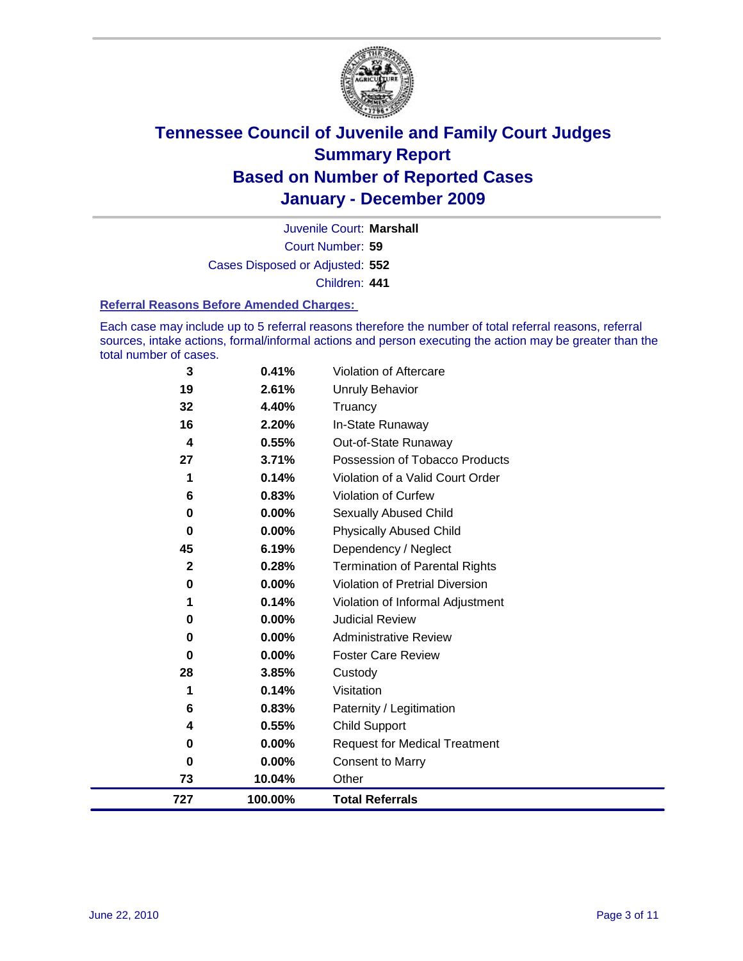

Court Number: **59** Juvenile Court: **Marshall** Cases Disposed or Adjusted: **552** Children: **441**

#### **Referral Reasons Before Amended Charges:**

Each case may include up to 5 referral reasons therefore the number of total referral reasons, referral sources, intake actions, formal/informal actions and person executing the action may be greater than the total number of cases.

| 727          | 100.00% | <b>Total Referrals</b>                 |
|--------------|---------|----------------------------------------|
| 73           | 10.04%  | Other                                  |
| 0            | 0.00%   | <b>Consent to Marry</b>                |
| 0            | 0.00%   | <b>Request for Medical Treatment</b>   |
| 4            | 0.55%   | <b>Child Support</b>                   |
| 6            | 0.83%   | Paternity / Legitimation               |
| 1            | 0.14%   | Visitation                             |
| 28           | 3.85%   | Custody                                |
| 0            | 0.00%   | <b>Foster Care Review</b>              |
| 0            | 0.00%   | <b>Administrative Review</b>           |
| 0            | 0.00%   | <b>Judicial Review</b>                 |
| 1            | 0.14%   | Violation of Informal Adjustment       |
| 0            | 0.00%   | <b>Violation of Pretrial Diversion</b> |
| $\mathbf{2}$ | 0.28%   | <b>Termination of Parental Rights</b>  |
| 45           | 6.19%   | Dependency / Neglect                   |
| $\bf{0}$     | 0.00%   | <b>Physically Abused Child</b>         |
| 0            | 0.00%   | <b>Sexually Abused Child</b>           |
| 6            | 0.83%   | Violation of Curfew                    |
| 1            | 0.14%   | Violation of a Valid Court Order       |
| 27           | 3.71%   | Possession of Tobacco Products         |
| 4            | 0.55%   | Out-of-State Runaway                   |
| 16           | 2.20%   | In-State Runaway                       |
| 32           | 4.40%   | Unruly Behavior<br>Truancy             |
| 19           | 2.61%   |                                        |
| 3            | 0.41%   | Violation of Aftercare                 |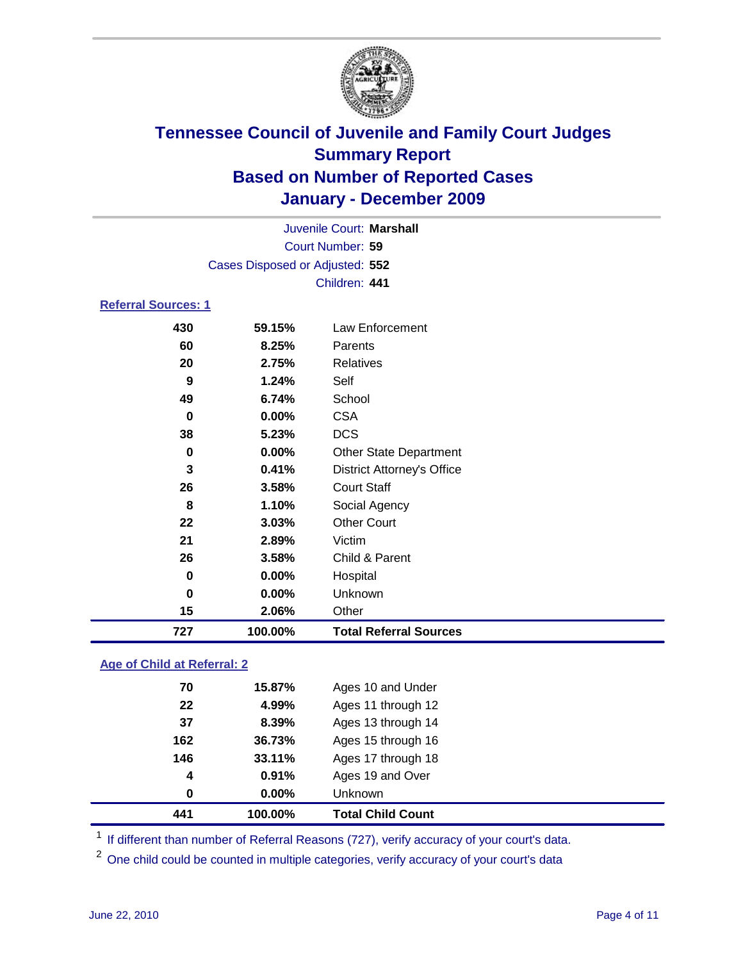

|                            |                                 | Juvenile Court: Marshall          |
|----------------------------|---------------------------------|-----------------------------------|
|                            |                                 | Court Number: 59                  |
|                            | Cases Disposed or Adjusted: 552 |                                   |
|                            |                                 | Children: 441                     |
| <b>Referral Sources: 1</b> |                                 |                                   |
| 430                        | 59.15%                          | Law Enforcement                   |
| 60                         | 8.25%                           | Parents                           |
| 20                         | 2.75%                           | <b>Relatives</b>                  |
| 9                          | 1.24%                           | Self                              |
| 49                         | 6.74%                           | School                            |
| 0                          | 0.00%                           | <b>CSA</b>                        |
| 38                         | 5.23%                           | <b>DCS</b>                        |
| 0                          | 0.00%                           | <b>Other State Department</b>     |
| 3                          | 0.41%                           | <b>District Attorney's Office</b> |
| 26                         | 3.58%                           | <b>Court Staff</b>                |
| 8                          | 1.10%                           | Social Agency                     |
| 22                         | 3.03%                           | <b>Other Court</b>                |
| 21                         | 2.89%                           | Victim                            |
| 26                         | 3.58%                           | Child & Parent                    |
| 0                          | 0.00%                           | Hospital                          |
| 0                          | 0.00%                           | Unknown                           |
| 15                         | 2.06%                           | Other                             |
| 727                        | 100.00%                         | <b>Total Referral Sources</b>     |

### **Age of Child at Referral: 2**

| 441 | 100.00%       | <b>Total Child Count</b> |
|-----|---------------|--------------------------|
|     | $0.00\%$<br>0 | <b>Unknown</b>           |
|     | 0.91%<br>4    | Ages 19 and Over         |
| 146 | 33.11%        | Ages 17 through 18       |
| 162 | 36.73%        | Ages 15 through 16       |
| 37  | 8.39%         | Ages 13 through 14       |
| 22  | 4.99%         | Ages 11 through 12       |
| 70  | 15.87%        | Ages 10 and Under        |
|     |               |                          |

<sup>1</sup> If different than number of Referral Reasons (727), verify accuracy of your court's data.

<sup>2</sup> One child could be counted in multiple categories, verify accuracy of your court's data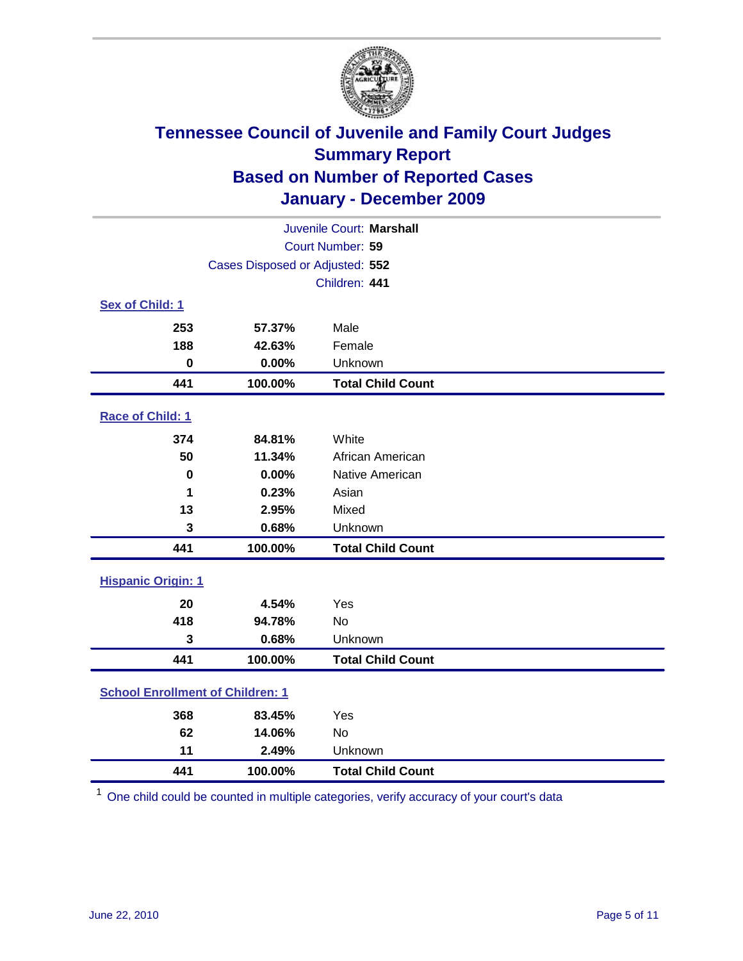

| Juvenile Court: Marshall  |                                         |                          |  |  |
|---------------------------|-----------------------------------------|--------------------------|--|--|
| Court Number: 59          |                                         |                          |  |  |
|                           | Cases Disposed or Adjusted: 552         |                          |  |  |
|                           |                                         | Children: 441            |  |  |
| Sex of Child: 1           |                                         |                          |  |  |
| 253                       | 57.37%                                  | Male                     |  |  |
| 188                       | 42.63%                                  | Female                   |  |  |
| $\bf{0}$                  | 0.00%                                   | Unknown                  |  |  |
| 441                       | 100.00%                                 | <b>Total Child Count</b> |  |  |
| Race of Child: 1          |                                         |                          |  |  |
| 374                       | 84.81%                                  | White                    |  |  |
| 50                        | 11.34%                                  | African American         |  |  |
| $\mathbf 0$               | 0.00%                                   | Native American          |  |  |
| 1                         | 0.23%                                   | Asian                    |  |  |
| 13                        | 2.95%                                   | Mixed                    |  |  |
| 3                         | 0.68%                                   | Unknown                  |  |  |
| 441                       | 100.00%                                 | <b>Total Child Count</b> |  |  |
| <b>Hispanic Origin: 1</b> |                                         |                          |  |  |
| 20                        | 4.54%                                   | Yes                      |  |  |
| 418                       | 94.78%                                  | <b>No</b>                |  |  |
| 3                         | 0.68%                                   | Unknown                  |  |  |
| 441                       | 100.00%                                 | <b>Total Child Count</b> |  |  |
|                           | <b>School Enrollment of Children: 1</b> |                          |  |  |
| 368                       | 83.45%                                  | Yes                      |  |  |
| 62                        | 14.06%                                  | No                       |  |  |
| 11                        | 2.49%                                   | Unknown                  |  |  |
| 441                       | 100.00%                                 | <b>Total Child Count</b> |  |  |

One child could be counted in multiple categories, verify accuracy of your court's data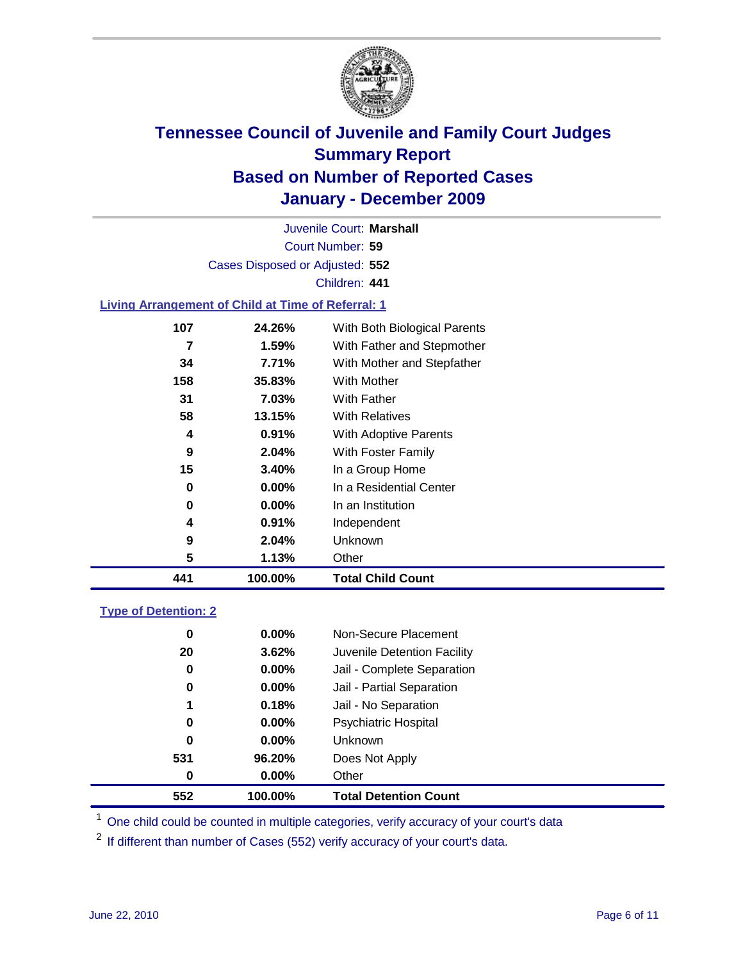

Court Number: **59** Juvenile Court: **Marshall** Cases Disposed or Adjusted: **552** Children: **441**

### **Living Arrangement of Child at Time of Referral: 1**

| 441 | 100.00%  | <b>Total Child Count</b>     |
|-----|----------|------------------------------|
| 5   | 1.13%    | Other                        |
| 9   | 2.04%    | Unknown                      |
| 4   | 0.91%    | Independent                  |
| 0   | $0.00\%$ | In an Institution            |
| 0   | $0.00\%$ | In a Residential Center      |
| 15  | 3.40%    | In a Group Home              |
| 9   | 2.04%    | With Foster Family           |
| 4   | 0.91%    | With Adoptive Parents        |
| 58  | 13.15%   | <b>With Relatives</b>        |
| 31  | 7.03%    | <b>With Father</b>           |
| 158 | 35.83%   | With Mother                  |
| 34  | 7.71%    | With Mother and Stepfather   |
| 7   | 1.59%    | With Father and Stepmother   |
| 107 | 24.26%   | With Both Biological Parents |
|     |          |                              |

### **Type of Detention: 2**

| 552 | 100.00%  | <b>Total Detention Count</b> |  |
|-----|----------|------------------------------|--|
| 0   | 0.00%    | Other                        |  |
| 531 | 96.20%   | Does Not Apply               |  |
| 0   | $0.00\%$ | Unknown                      |  |
| 0   | $0.00\%$ | Psychiatric Hospital         |  |
| 1   | 0.18%    | Jail - No Separation         |  |
| 0   | $0.00\%$ | Jail - Partial Separation    |  |
| 0   | 0.00%    | Jail - Complete Separation   |  |
| 20  | 3.62%    | Juvenile Detention Facility  |  |
| 0   | $0.00\%$ | Non-Secure Placement         |  |
|     |          |                              |  |

<sup>1</sup> One child could be counted in multiple categories, verify accuracy of your court's data

<sup>2</sup> If different than number of Cases (552) verify accuracy of your court's data.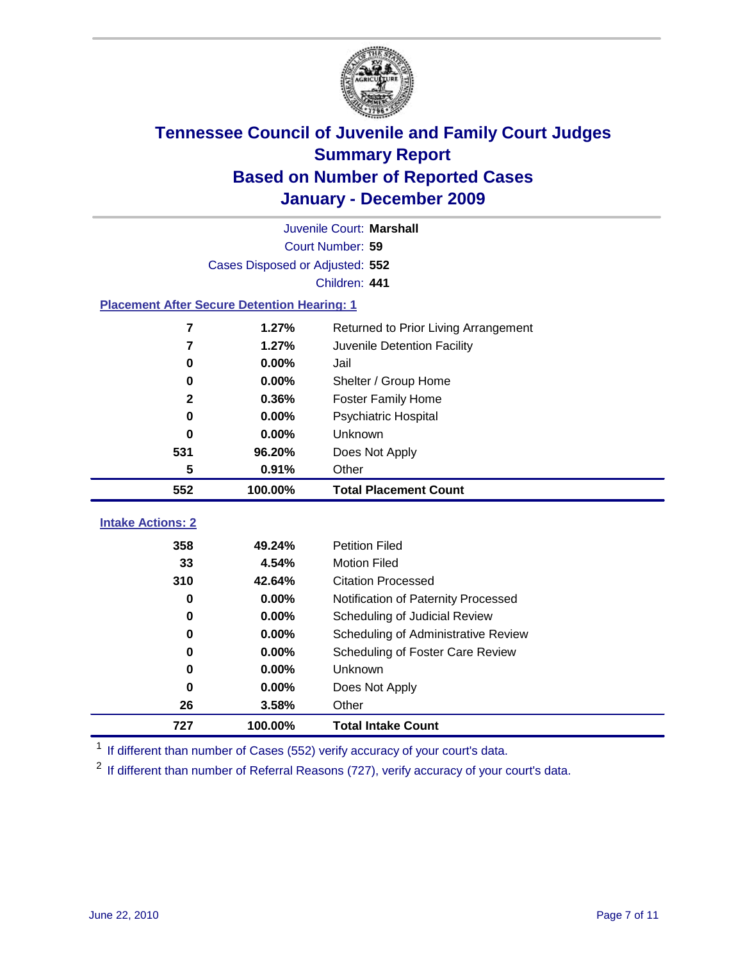

|                                                    | Juvenile Court: Marshall        |                                      |  |  |  |
|----------------------------------------------------|---------------------------------|--------------------------------------|--|--|--|
|                                                    | Court Number: 59                |                                      |  |  |  |
|                                                    | Cases Disposed or Adjusted: 552 |                                      |  |  |  |
|                                                    | Children: 441                   |                                      |  |  |  |
| <b>Placement After Secure Detention Hearing: 1</b> |                                 |                                      |  |  |  |
| 7                                                  | 1.27%                           | Returned to Prior Living Arrangement |  |  |  |
| 7                                                  | 1.27%                           | Juvenile Detention Facility          |  |  |  |
| 0                                                  | 0.00%                           | Jail                                 |  |  |  |
| $\bf{0}$                                           | 0.00%                           | Shelter / Group Home                 |  |  |  |
| $\mathbf{2}$                                       | 0.36%                           | <b>Foster Family Home</b>            |  |  |  |
| $\bf{0}$                                           | 0.00%                           | Psychiatric Hospital                 |  |  |  |
| 0                                                  | $0.00\%$                        | Unknown                              |  |  |  |
| 531                                                | 96.20%                          | Does Not Apply                       |  |  |  |
| 5                                                  | 0.91%                           | Other                                |  |  |  |
| 552                                                | 100.00%                         | <b>Total Placement Count</b>         |  |  |  |
| <b>Intake Actions: 2</b>                           |                                 |                                      |  |  |  |
|                                                    |                                 |                                      |  |  |  |
| 358                                                | 49.24%                          | <b>Petition Filed</b>                |  |  |  |
| 33                                                 | 4.54%                           | <b>Motion Filed</b>                  |  |  |  |
| 310                                                | 42.64%                          | <b>Citation Processed</b>            |  |  |  |
| 0                                                  | 0.00%                           | Notification of Paternity Processed  |  |  |  |
| $\bf{0}$                                           | 0.00%                           | Scheduling of Judicial Review        |  |  |  |
| 0                                                  | 0.00%                           | Scheduling of Administrative Review  |  |  |  |
| 0                                                  | 0.00%                           | Scheduling of Foster Care Review     |  |  |  |
| $\bf{0}$                                           | 0.00%                           | Unknown                              |  |  |  |
| 0                                                  | 0.00%                           | Does Not Apply                       |  |  |  |
| 26                                                 | 3.58%                           | Other                                |  |  |  |
| 727                                                | 100.00%                         | <b>Total Intake Count</b>            |  |  |  |

<sup>1</sup> If different than number of Cases (552) verify accuracy of your court's data.

<sup>2</sup> If different than number of Referral Reasons (727), verify accuracy of your court's data.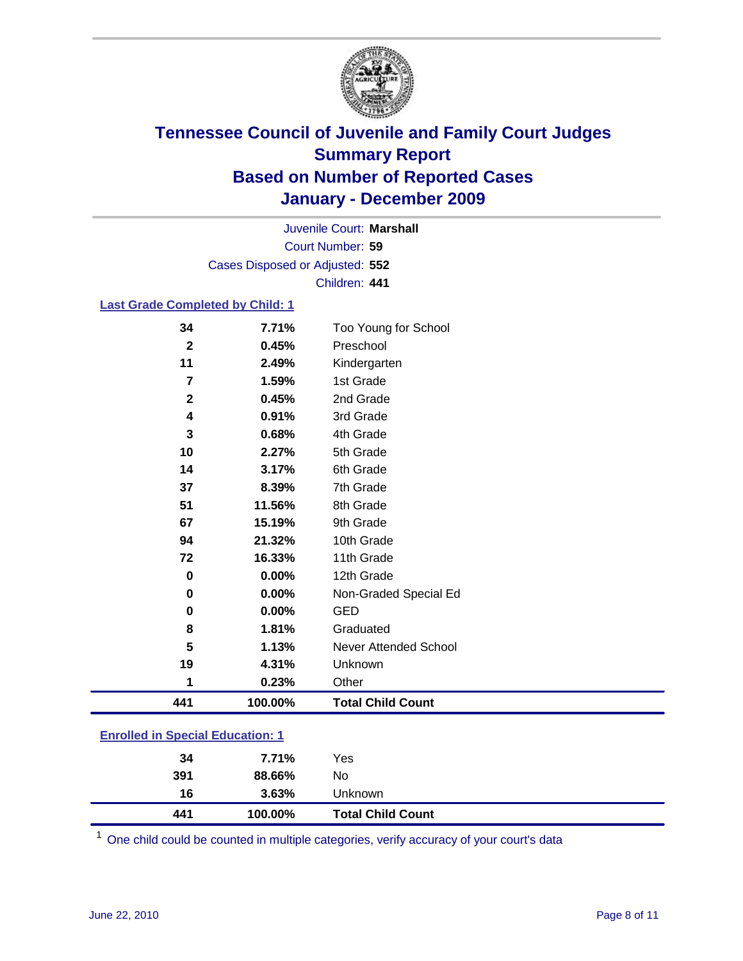

Court Number: **59** Juvenile Court: **Marshall** Cases Disposed or Adjusted: **552** Children: **441**

### **Last Grade Completed by Child: 1**

| 441                     | 100.00% | <b>Total Child Count</b>     |
|-------------------------|---------|------------------------------|
| 1                       | 0.23%   | Other                        |
| 19                      | 4.31%   | Unknown                      |
| 5                       | 1.13%   | <b>Never Attended School</b> |
| 8                       | 1.81%   | Graduated                    |
| 0                       | 0.00%   | <b>GED</b>                   |
| 0                       | 0.00%   | Non-Graded Special Ed        |
| $\bf{0}$                | 0.00%   | 12th Grade                   |
| 72                      | 16.33%  | 11th Grade                   |
| 94                      | 21.32%  | 10th Grade                   |
| 67                      | 15.19%  | 9th Grade                    |
| 51                      | 11.56%  | 8th Grade                    |
| 37                      | 8.39%   | 7th Grade                    |
| 14                      | 3.17%   | 6th Grade                    |
| 10                      | 2.27%   | 5th Grade                    |
| 3                       | 0.68%   | 4th Grade                    |
| 4                       | 0.91%   | 3rd Grade                    |
| $\mathbf 2$             | 0.45%   | 2nd Grade                    |
| $\overline{7}$          | 1.59%   | 1st Grade                    |
| 11                      | 2.49%   | Kindergarten                 |
| $\overline{\mathbf{2}}$ | 0.45%   | Preschool                    |
| 34                      | 7.71%   | Too Young for School         |

| 441                                     | 100.00% | <b>Total Child Count</b> |  |
|-----------------------------------------|---------|--------------------------|--|
| 16                                      | 3.63%   | Unknown                  |  |
| 391                                     | 88.66%  | No                       |  |
| 34                                      | 7.71%   | Yes                      |  |
| <b>Enrolled in Special Education: 1</b> |         |                          |  |

One child could be counted in multiple categories, verify accuracy of your court's data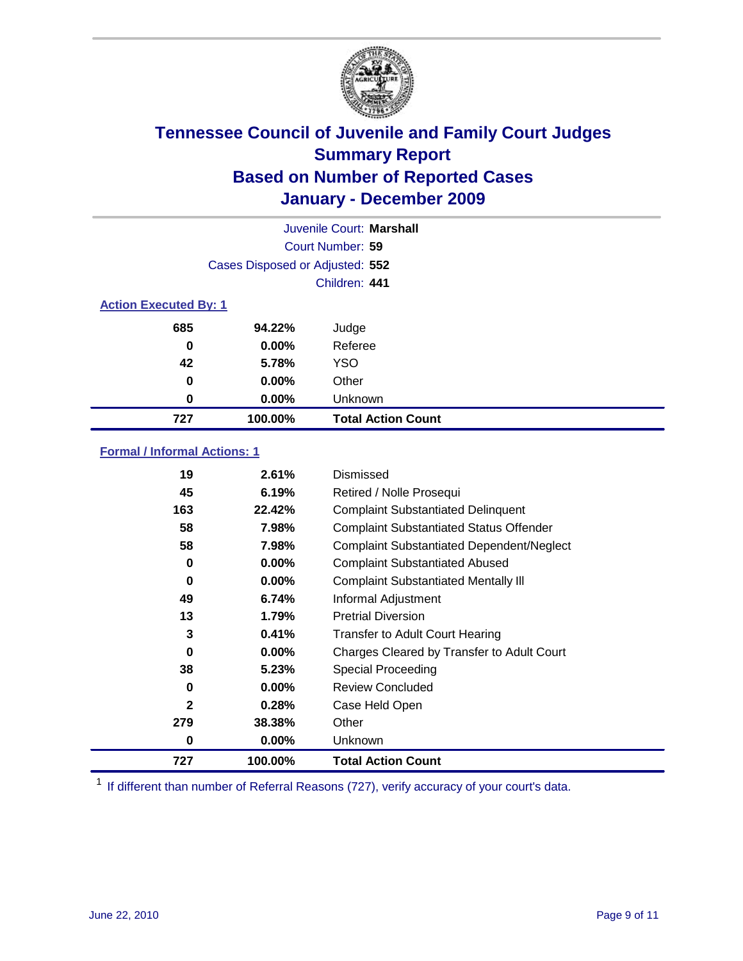

|                              | Juvenile Court: Marshall        |                           |  |  |
|------------------------------|---------------------------------|---------------------------|--|--|
| Court Number: 59             |                                 |                           |  |  |
|                              | Cases Disposed or Adjusted: 552 |                           |  |  |
|                              |                                 | Children: 441             |  |  |
| <b>Action Executed By: 1</b> |                                 |                           |  |  |
| 685                          | 94.22%                          | Judge                     |  |  |
| 0                            | $0.00\%$                        | Referee                   |  |  |
| 42                           | 5.78%                           | <b>YSO</b>                |  |  |
| 0                            | $0.00\%$                        | Other                     |  |  |
| 0                            | 0.00%                           | Unknown                   |  |  |
| 727                          | 100.00%                         | <b>Total Action Count</b> |  |  |

### **Formal / Informal Actions: 1**

| 19           | 2.61%    | Dismissed                                        |
|--------------|----------|--------------------------------------------------|
| 45           | 6.19%    | Retired / Nolle Prosequi                         |
| 163          | 22.42%   | <b>Complaint Substantiated Delinquent</b>        |
| 58           | 7.98%    | <b>Complaint Substantiated Status Offender</b>   |
| 58           | 7.98%    | <b>Complaint Substantiated Dependent/Neglect</b> |
| 0            | $0.00\%$ | <b>Complaint Substantiated Abused</b>            |
| $\bf{0}$     | $0.00\%$ | <b>Complaint Substantiated Mentally III</b>      |
| 49           | 6.74%    | Informal Adjustment                              |
| 13           | 1.79%    | <b>Pretrial Diversion</b>                        |
| 3            | 0.41%    | <b>Transfer to Adult Court Hearing</b>           |
| 0            | $0.00\%$ | Charges Cleared by Transfer to Adult Court       |
| 38           | 5.23%    | Special Proceeding                               |
| 0            | 0.00%    | <b>Review Concluded</b>                          |
| $\mathbf{2}$ | 0.28%    | Case Held Open                                   |
| 279          | 38.38%   | Other                                            |
| 0            | $0.00\%$ | Unknown                                          |
| 727          | 100.00%  | <b>Total Action Count</b>                        |

<sup>1</sup> If different than number of Referral Reasons (727), verify accuracy of your court's data.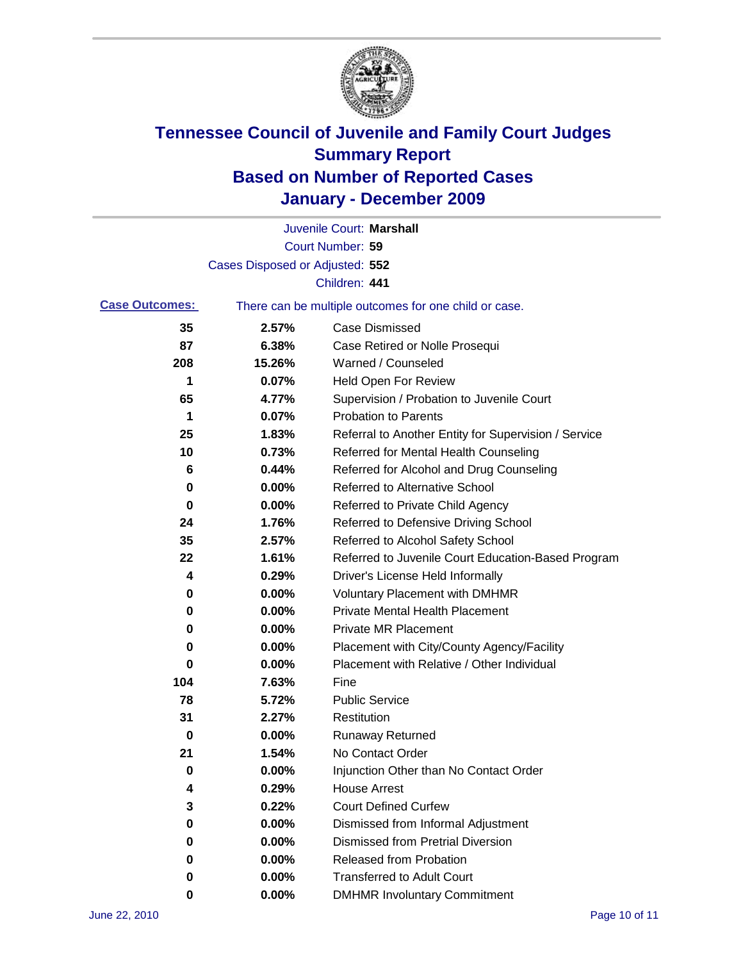

|                       |                                 | Juvenile Court: Marshall                              |
|-----------------------|---------------------------------|-------------------------------------------------------|
|                       |                                 | Court Number: 59                                      |
|                       | Cases Disposed or Adjusted: 552 |                                                       |
|                       |                                 | Children: 441                                         |
| <b>Case Outcomes:</b> |                                 | There can be multiple outcomes for one child or case. |
| 35                    | 2.57%                           | <b>Case Dismissed</b>                                 |
| 87                    | 6.38%                           | Case Retired or Nolle Prosequi                        |
| 208                   | 15.26%                          | Warned / Counseled                                    |
| 1                     | 0.07%                           | <b>Held Open For Review</b>                           |
| 65                    | 4.77%                           | Supervision / Probation to Juvenile Court             |
| 1                     | 0.07%                           | <b>Probation to Parents</b>                           |
| 25                    | 1.83%                           | Referral to Another Entity for Supervision / Service  |
| 10                    | 0.73%                           | Referred for Mental Health Counseling                 |
| 6                     | 0.44%                           | Referred for Alcohol and Drug Counseling              |
| 0                     | 0.00%                           | <b>Referred to Alternative School</b>                 |
| 0                     | 0.00%                           | Referred to Private Child Agency                      |
| 24                    | 1.76%                           | Referred to Defensive Driving School                  |
| 35                    | 2.57%                           | Referred to Alcohol Safety School                     |
| 22                    | 1.61%                           | Referred to Juvenile Court Education-Based Program    |
| 4                     | 0.29%                           | Driver's License Held Informally                      |
| 0                     | 0.00%                           | <b>Voluntary Placement with DMHMR</b>                 |
| 0                     | 0.00%                           | <b>Private Mental Health Placement</b>                |
| 0                     | 0.00%                           | <b>Private MR Placement</b>                           |
| 0                     | 0.00%                           | Placement with City/County Agency/Facility            |
| 0                     | 0.00%                           | Placement with Relative / Other Individual            |
| 104                   | 7.63%                           | Fine                                                  |
| 78                    | 5.72%                           | <b>Public Service</b>                                 |
| 31                    | 2.27%                           | Restitution                                           |
| 0                     | 0.00%                           | <b>Runaway Returned</b>                               |
| 21                    | 1.54%                           | No Contact Order                                      |
| 0                     | 0.00%                           | Injunction Other than No Contact Order                |
| 4                     | 0.29%                           | <b>House Arrest</b>                                   |
| 3                     | 0.22%                           | <b>Court Defined Curfew</b>                           |
| 0                     | 0.00%                           | Dismissed from Informal Adjustment                    |
| 0                     | 0.00%                           | <b>Dismissed from Pretrial Diversion</b>              |
| 0                     | 0.00%                           | Released from Probation                               |
| 0                     | 0.00%                           | <b>Transferred to Adult Court</b>                     |
| 0                     | $0.00\%$                        | <b>DMHMR Involuntary Commitment</b>                   |